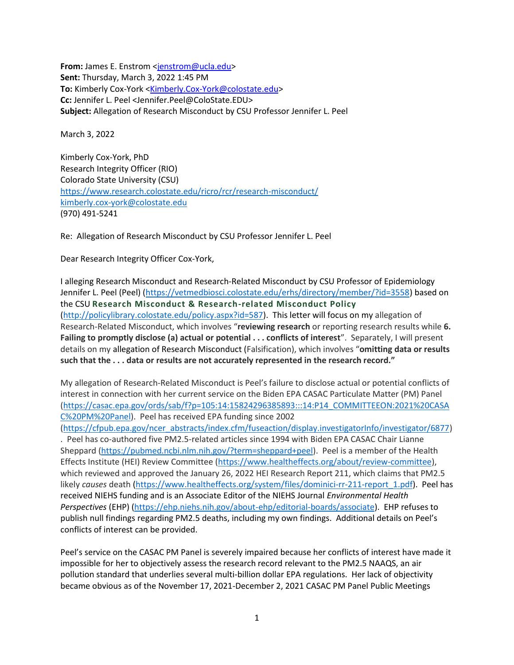**From:** James E. Enstrom [<jenstrom@ucla.edu>](mailto:jenstrom@ucla.edu) **Sent:** Thursday, March 3, 2022 1:45 PM **To:** Kimberly Cox-York [<Kimberly.Cox-York@colostate.edu>](mailto:Kimberly.Cox-York@colostate.edu) **Cc:** Jennifer L. Peel <Jennifer.Peel@ColoState.EDU> **Subject:** Allegation of Research Misconduct by CSU Professor Jennifer L. Peel

March 3, 2022

Kimberly Cox-York, PhD Research Integrity Officer (RIO) Colorado State University (CSU) <https://www.research.colostate.edu/ricro/rcr/research-misconduct/> [kimberly.cox-york@colostate.edu](mailto:kimberly.cox-york@colostate.edu) (970) 491-5241

Re: Allegation of Research Misconduct by CSU Professor Jennifer L. Peel

Dear Research Integrity Officer Cox-York,

I alleging Research Misconduct and Research-Related Misconduct by CSU Professor of Epidemiology Jennifer L. Peel (Peel) [\(https://vetmedbiosci.colostate.edu/erhs/directory/member/?id=3558\)](https://vetmedbiosci.colostate.edu/erhs/directory/member/?id=3558) based on the CSU **[Research Misconduct & Research-related Misconduct Policy](http://policylibrary.colostate.edu/policy.aspx?id=587)** [\(http://policylibrary.colostate.edu/policy.aspx?id=587\)](http://policylibrary.colostate.edu/policy.aspx?id=587). This letter will focus on my allegation of Research-Related Misconduct, which involves "**reviewing research** or reporting research results while **6. Failing to promptly disclose (a) actual or potential . . . conflicts of interest**". Separately, I will present details on my allegation of Research Misconduct (Falsification), which involves "**omitting data or results such that the . . . data or results are not accurately represented in the research record."** 

My allegation of Research-Related Misconduct is Peel's failure to disclose actual or potential conflicts of interest in connection with her current service on the Biden EPA CASAC Particulate Matter (PM) Panel [\(https://casac.epa.gov/ords/sab/f?p=105:14:15824296385893:::14:P14\\_COMMITTEEON:2021%20CASA](https://nam10.safelinks.protection.outlook.com/?url=https%3A%2F%2Fcasac.epa.gov%2Fords%2Fsab%2Ff%3Fp%3D105%3A14%3A15824296385893%3A%3A%3A14%3AP14_COMMITTEEON%3A2021%2520CASAC%2520PM%2520Panel&data=04%7C01%7Ckimberly.cox-york%40colostate.edu%7Cfc81d232f6bb47de5db308d9fd56c174%7Cafb58802ff7a4bb1ab21367ff2ecfc8b%7C0%7C0%7C637819372063063953%7CUnknown%7CTWFpbGZsb3d8eyJWIjoiMC4wLjAwMDAiLCJQIjoiV2luMzIiLCJBTiI6Ik1haWwiLCJXVCI6Mn0%3D%7C3000&sdata=lJoQeGeJUW4l1UcoqnG5lxCv4MDOZxEfjrDEICMgR%2BM%3D&reserved=0) [C%20PM%20Panel\)](https://nam10.safelinks.protection.outlook.com/?url=https%3A%2F%2Fcasac.epa.gov%2Fords%2Fsab%2Ff%3Fp%3D105%3A14%3A15824296385893%3A%3A%3A14%3AP14_COMMITTEEON%3A2021%2520CASAC%2520PM%2520Panel&data=04%7C01%7Ckimberly.cox-york%40colostate.edu%7Cfc81d232f6bb47de5db308d9fd56c174%7Cafb58802ff7a4bb1ab21367ff2ecfc8b%7C0%7C0%7C637819372063063953%7CUnknown%7CTWFpbGZsb3d8eyJWIjoiMC4wLjAwMDAiLCJQIjoiV2luMzIiLCJBTiI6Ik1haWwiLCJXVCI6Mn0%3D%7C3000&sdata=lJoQeGeJUW4l1UcoqnG5lxCv4MDOZxEfjrDEICMgR%2BM%3D&reserved=0). Peel has received EPA funding since 2002

[\(https://cfpub.epa.gov/ncer\\_abstracts/index.cfm/fuseaction/display.investigatorInfo/investigator/6877\)](https://nam10.safelinks.protection.outlook.com/?url=https%3A%2F%2Fcfpub.epa.gov%2Fncer_abstracts%2Findex.cfm%2Ffuseaction%2Fdisplay.investigatorInfo%2Finvestigator%2F6877&data=04%7C01%7Ckimberly.cox-york%40colostate.edu%7Cfc81d232f6bb47de5db308d9fd56c174%7Cafb58802ff7a4bb1ab21367ff2ecfc8b%7C0%7C0%7C637819372063063953%7CUnknown%7CTWFpbGZsb3d8eyJWIjoiMC4wLjAwMDAiLCJQIjoiV2luMzIiLCJBTiI6Ik1haWwiLCJXVCI6Mn0%3D%7C3000&sdata=vhXOOJ33A3bgwV7IDkiZmu4%2BQa1hT1%2Fhti%2FfjOfFYZU%3D&reserved=0) . Peel has co-authored five PM2.5-related articles since 1994 with Biden EPA CASAC Chair Lianne Sheppard [\(https://pubmed.ncbi.nlm.nih.gov/?term=sheppard+peel\)](https://nam10.safelinks.protection.outlook.com/?url=https%3A%2F%2Fpubmed.ncbi.nlm.nih.gov%2F%3Fterm%3Dsheppard%2Bpeel&data=04%7C01%7Ckimberly.cox-york%40colostate.edu%7Cfc81d232f6bb47de5db308d9fd56c174%7Cafb58802ff7a4bb1ab21367ff2ecfc8b%7C0%7C0%7C637819372063063953%7CUnknown%7CTWFpbGZsb3d8eyJWIjoiMC4wLjAwMDAiLCJQIjoiV2luMzIiLCJBTiI6Ik1haWwiLCJXVCI6Mn0%3D%7C3000&sdata=0gbGFoMfrk1MTNzgo9ZFmbzMWo0O5db52JHGBjWa99A%3D&reserved=0). Peel is a member of the Health Effects Institute (HEI) Review Committee [\(https://www.healtheffects.org/about/review-committee\)](https://nam10.safelinks.protection.outlook.com/?url=https%3A%2F%2Fwww.healtheffects.org%2Fabout%2Freview-committee&data=04%7C01%7Ckimberly.cox-york%40colostate.edu%7Cfc81d232f6bb47de5db308d9fd56c174%7Cafb58802ff7a4bb1ab21367ff2ecfc8b%7C0%7C0%7C637819372063063953%7CUnknown%7CTWFpbGZsb3d8eyJWIjoiMC4wLjAwMDAiLCJQIjoiV2luMzIiLCJBTiI6Ik1haWwiLCJXVCI6Mn0%3D%7C3000&sdata=nfYdhQvWE7rw7hfSC%2F4I8TXrLSe5L3bm31i8mL8EjVE%3D&reserved=0), which reviewed and approved the January 26, 2022 HEI Research Report 211, which claims that PM2.5 likely *causes* death [\(https://www.healtheffects.org/system/files/dominici-rr-211-report\\_1.pdf\)](https://nam10.safelinks.protection.outlook.com/?url=https%3A%2F%2Fwww.healtheffects.org%2Fsystem%2Ffiles%2Fdominici-rr-211-report_1.pdf&data=04%7C01%7Ckimberly.cox-york%40colostate.edu%7Cfc81d232f6bb47de5db308d9fd56c174%7Cafb58802ff7a4bb1ab21367ff2ecfc8b%7C0%7C0%7C637819372063063953%7CUnknown%7CTWFpbGZsb3d8eyJWIjoiMC4wLjAwMDAiLCJQIjoiV2luMzIiLCJBTiI6Ik1haWwiLCJXVCI6Mn0%3D%7C3000&sdata=gGMWJy78uvv%2FzA%2Fj3M%2Fn7yib2CQkVWa8i5ZhJs3ahvw%3D&reserved=0). Peel has received NIEHS funding and is an Associate Editor of the NIEHS Journal *Environmental Health Perspectives* (EHP) [\(https://ehp.niehs.nih.gov/about-ehp/editorial-boards/associate\)](https://nam10.safelinks.protection.outlook.com/?url=https%3A%2F%2Fehp.niehs.nih.gov%2Fabout-ehp%2Feditorial-boards%2Fassociate&data=04%7C01%7Ckimberly.cox-york%40colostate.edu%7Cfc81d232f6bb47de5db308d9fd56c174%7Cafb58802ff7a4bb1ab21367ff2ecfc8b%7C0%7C0%7C637819372063063953%7CUnknown%7CTWFpbGZsb3d8eyJWIjoiMC4wLjAwMDAiLCJQIjoiV2luMzIiLCJBTiI6Ik1haWwiLCJXVCI6Mn0%3D%7C3000&sdata=SHeQ4D%2FkV4xK9GlHjOBBmcQhnWilbXtIlIc4Lw18wQA%3D&reserved=0). EHP refuses to publish null findings regarding PM2.5 deaths, including my own findings. Additional details on Peel's conflicts of interest can be provided.

Peel's service on the CASAC PM Panel is severely impaired because her conflicts of interest have made it impossible for her to objectively assess the research record relevant to the PM2.5 NAAQS, an air pollution standard that underlies several multi-billion dollar EPA regulations. Her lack of objectivity became obvious as of the November 17, 2021-December 2, 2021 CASAC PM Panel Public Meetings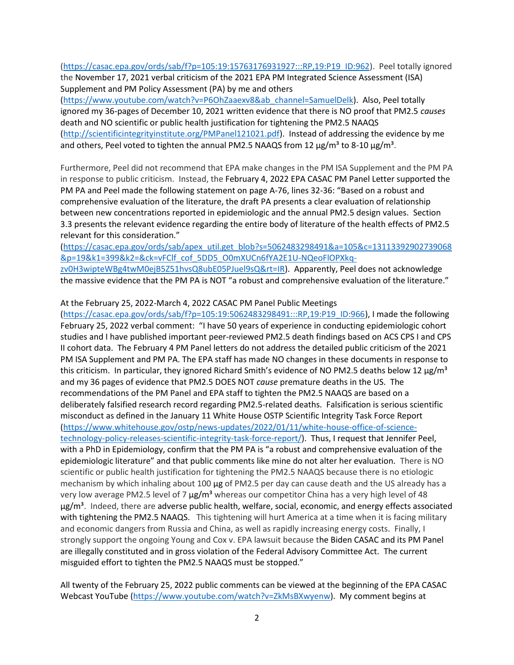[\(https://casac.epa.gov/ords/sab/f?p=105:19:15763176931927:::RP,19:P19\\_ID:962\)](https://nam10.safelinks.protection.outlook.com/?url=https%3A%2F%2Fcasac.epa.gov%2Fords%2Fsab%2Ff%3Fp%3D105%3A19%3A15763176931927%3A%3A%3ARP%2C19%3AP19_ID%3A962&data=04%7C01%7Ckimberly.cox-york%40colostate.edu%7Cfc81d232f6bb47de5db308d9fd56c174%7Cafb58802ff7a4bb1ab21367ff2ecfc8b%7C0%7C0%7C637819372063063953%7CUnknown%7CTWFpbGZsb3d8eyJWIjoiMC4wLjAwMDAiLCJQIjoiV2luMzIiLCJBTiI6Ik1haWwiLCJXVCI6Mn0%3D%7C3000&sdata=2ztubjhjzkZP82GfICy36KNoWc75t9na7YBigZyIwWw%3D&reserved=0). Peel totally ignored the November 17, 2021 verbal criticism of the 2021 EPA PM Integrated Science Assessment (ISA) Supplement and PM Policy Assessment (PA) by me and others

[\(https://www.youtube.com/watch?v=P6OhZaaexv8&ab\\_channel=SamuelDelk\)](https://nam10.safelinks.protection.outlook.com/?url=https%3A%2F%2Fwww.youtube.com%2Fwatch%3Fv%3DP6OhZaaexv8%26ab_channel%3DSamuelDelk&data=04%7C01%7Ckimberly.cox-york%40colostate.edu%7Cfc81d232f6bb47de5db308d9fd56c174%7Cafb58802ff7a4bb1ab21367ff2ecfc8b%7C0%7C0%7C637819372063063953%7CUnknown%7CTWFpbGZsb3d8eyJWIjoiMC4wLjAwMDAiLCJQIjoiV2luMzIiLCJBTiI6Ik1haWwiLCJXVCI6Mn0%3D%7C3000&sdata=GHiz4GDUpFTnriXfZo5eCi%2FLJCTTcr4wVBCxaXrLSsI%3D&reserved=0). Also, Peel totally ignored my 36-pages of December 10, 2021 written evidence that there is NO proof that PM2.5 *causes*  death and NO scientific or public health justification for tightening the PM2.5 NAAQS [\(http://scientificintegrityinstitute.org/PMPanel121021.pdf\)](https://nam10.safelinks.protection.outlook.com/?url=http%3A%2F%2Fscientificintegrityinstitute.org%2FPMPanel121021.pdf&data=04%7C01%7Ckimberly.cox-york%40colostate.edu%7Cfc81d232f6bb47de5db308d9fd56c174%7Cafb58802ff7a4bb1ab21367ff2ecfc8b%7C0%7C0%7C637819372063063953%7CUnknown%7CTWFpbGZsb3d8eyJWIjoiMC4wLjAwMDAiLCJQIjoiV2luMzIiLCJBTiI6Ik1haWwiLCJXVCI6Mn0%3D%7C3000&sdata=8BecVlsgDQNjBt0%2BLNyM91PIOzvnTYBUJp88EP8hATU%3D&reserved=0). Instead of addressing the evidence by me and others, Peel voted to tighten the annual PM2.5 NAAQS from 12  $\mu$ g/m<sup>3</sup> to 8-10  $\mu$ g/m<sup>3</sup>.

Furthermore, Peel did not recommend that EPA make changes in the PM ISA Supplement and the PM PA in response to public criticism. Instead, the February 4, 2022 EPA CASAC PM Panel Letter supported the PM PA and Peel made the following statement on page A-76, lines 32-36: "Based on a robust and comprehensive evaluation of the literature, the draft PA presents a clear evaluation of relationship between new concentrations reported in epidemiologic and the annual PM2.5 design values. Section 3.3 presents the relevant evidence regarding the entire body of literature of the health effects of PM2.5 relevant for this consideration."

[\(https://casac.epa.gov/ords/sab/apex\\_util.get\\_blob?s=5062483298491&a=105&c=13113392902739068](https://nam10.safelinks.protection.outlook.com/?url=https%3A%2F%2Fcasac.epa.gov%2Fords%2Fsab%2Fapex_util.get_blob%3Fs%3D5062483298491%26a%3D105%26c%3D13113392902739068%26p%3D19%26k1%3D399%26k2%3D%26ck%3DvFClf_cof_5DD5_O0mXUCn6fYA2E1U-NQeoFlOPXkq-zv0H3wipteWBg4twM0ejB5Z51hvsQ8ubE05PJuel9sQ%26rt%3DIR&data=04%7C01%7Ckimberly.cox-york%40colostate.edu%7Cfc81d232f6bb47de5db308d9fd56c174%7Cafb58802ff7a4bb1ab21367ff2ecfc8b%7C0%7C0%7C637819372063220192%7CUnknown%7CTWFpbGZsb3d8eyJWIjoiMC4wLjAwMDAiLCJQIjoiV2luMzIiLCJBTiI6Ik1haWwiLCJXVCI6Mn0%3D%7C3000&sdata=kFwCcvQZuhvmMS1ghtBbg%2BusvLDFb%2Ft8vg9o5ZGjsKY%3D&reserved=0) [&p=19&k1=399&k2=&ck=vFClf\\_cof\\_5DD5\\_O0mXUCn6fYA2E1U-NQeoFlOPXkq](https://nam10.safelinks.protection.outlook.com/?url=https%3A%2F%2Fcasac.epa.gov%2Fords%2Fsab%2Fapex_util.get_blob%3Fs%3D5062483298491%26a%3D105%26c%3D13113392902739068%26p%3D19%26k1%3D399%26k2%3D%26ck%3DvFClf_cof_5DD5_O0mXUCn6fYA2E1U-NQeoFlOPXkq-zv0H3wipteWBg4twM0ejB5Z51hvsQ8ubE05PJuel9sQ%26rt%3DIR&data=04%7C01%7Ckimberly.cox-york%40colostate.edu%7Cfc81d232f6bb47de5db308d9fd56c174%7Cafb58802ff7a4bb1ab21367ff2ecfc8b%7C0%7C0%7C637819372063220192%7CUnknown%7CTWFpbGZsb3d8eyJWIjoiMC4wLjAwMDAiLCJQIjoiV2luMzIiLCJBTiI6Ik1haWwiLCJXVCI6Mn0%3D%7C3000&sdata=kFwCcvQZuhvmMS1ghtBbg%2BusvLDFb%2Ft8vg9o5ZGjsKY%3D&reserved=0)[zv0H3wipteWBg4twM0ejB5Z51hvsQ8ubE05PJuel9sQ&rt=IR\)](https://nam10.safelinks.protection.outlook.com/?url=https%3A%2F%2Fcasac.epa.gov%2Fords%2Fsab%2Fapex_util.get_blob%3Fs%3D5062483298491%26a%3D105%26c%3D13113392902739068%26p%3D19%26k1%3D399%26k2%3D%26ck%3DvFClf_cof_5DD5_O0mXUCn6fYA2E1U-NQeoFlOPXkq-zv0H3wipteWBg4twM0ejB5Z51hvsQ8ubE05PJuel9sQ%26rt%3DIR&data=04%7C01%7Ckimberly.cox-york%40colostate.edu%7Cfc81d232f6bb47de5db308d9fd56c174%7Cafb58802ff7a4bb1ab21367ff2ecfc8b%7C0%7C0%7C637819372063220192%7CUnknown%7CTWFpbGZsb3d8eyJWIjoiMC4wLjAwMDAiLCJQIjoiV2luMzIiLCJBTiI6Ik1haWwiLCJXVCI6Mn0%3D%7C3000&sdata=kFwCcvQZuhvmMS1ghtBbg%2BusvLDFb%2Ft8vg9o5ZGjsKY%3D&reserved=0). Apparently, Peel does not acknowledge the massive evidence that the PM PA is NOT "a robust and comprehensive evaluation of the literature."

At the February 25, 2022-March 4, 2022 CASAC PM Panel Public Meetings

[\(https://casac.epa.gov/ords/sab/f?p=105:19:5062483298491:::RP,19:P19\\_ID:966\)](https://nam10.safelinks.protection.outlook.com/?url=https%3A%2F%2Fcasac.epa.gov%2Fords%2Fsab%2Ff%3Fp%3D105%3A19%3A5062483298491%3A%3A%3ARP%2C19%3AP19_ID%3A966&data=04%7C01%7Ckimberly.cox-york%40colostate.edu%7Cfc81d232f6bb47de5db308d9fd56c174%7Cafb58802ff7a4bb1ab21367ff2ecfc8b%7C0%7C0%7C637819372063220192%7CUnknown%7CTWFpbGZsb3d8eyJWIjoiMC4wLjAwMDAiLCJQIjoiV2luMzIiLCJBTiI6Ik1haWwiLCJXVCI6Mn0%3D%7C3000&sdata=L0sckJWfpKUFRaXfQgowcnNpmnlSnsayE%2BalhqEfV20%3D&reserved=0), I made the following February 25, 2022 verbal comment: "I have 50 years of experience in conducting epidemiologic cohort studies and I have published important peer-reviewed PM2.5 death findings based on ACS CPS I and CPS II cohort data. The February 4 PM Panel letters do not address the detailed public criticism of the 2021 PM ISA Supplement and PM PA. The EPA staff has made NO changes in these documents in response to this criticism. In particular, they ignored Richard Smith's evidence of NO PM2.5 deaths below 12 μg/m<sup>3</sup> and my 36 pages of evidence that PM2.5 DOES NOT *cause* premature deaths in the US. The recommendations of the PM Panel and EPA staff to tighten the PM2.5 NAAQS are based on a deliberately falsified research record regarding PM2.5-related deaths. Falsification is serious scientific misconduct as defined in the January 11 White House OSTP Scientific Integrity Task Force Report [\(https://www.whitehouse.gov/ostp/news-updates/2022/01/11/white-house-office-of-science](https://nam10.safelinks.protection.outlook.com/?url=https%3A%2F%2Fwww.whitehouse.gov%2Fostp%2Fnews-updates%2F2022%2F01%2F11%2Fwhite-house-office-of-science-technology-policy-releases-scientific-integrity-task-force-report%2F&data=04%7C01%7Ckimberly.cox-york%40colostate.edu%7Cfc81d232f6bb47de5db308d9fd56c174%7Cafb58802ff7a4bb1ab21367ff2ecfc8b%7C0%7C0%7C637819372063220192%7CUnknown%7CTWFpbGZsb3d8eyJWIjoiMC4wLjAwMDAiLCJQIjoiV2luMzIiLCJBTiI6Ik1haWwiLCJXVCI6Mn0%3D%7C3000&sdata=gqXUUpG4G6EYGAqz6Gl02x1eKcGe0snm6%2FJLk%2Fg%2FjX0%3D&reserved=0)[technology-policy-releases-scientific-integrity-task-force-report/\)](https://nam10.safelinks.protection.outlook.com/?url=https%3A%2F%2Fwww.whitehouse.gov%2Fostp%2Fnews-updates%2F2022%2F01%2F11%2Fwhite-house-office-of-science-technology-policy-releases-scientific-integrity-task-force-report%2F&data=04%7C01%7Ckimberly.cox-york%40colostate.edu%7Cfc81d232f6bb47de5db308d9fd56c174%7Cafb58802ff7a4bb1ab21367ff2ecfc8b%7C0%7C0%7C637819372063220192%7CUnknown%7CTWFpbGZsb3d8eyJWIjoiMC4wLjAwMDAiLCJQIjoiV2luMzIiLCJBTiI6Ik1haWwiLCJXVCI6Mn0%3D%7C3000&sdata=gqXUUpG4G6EYGAqz6Gl02x1eKcGe0snm6%2FJLk%2Fg%2FjX0%3D&reserved=0). Thus, I request that Jennifer Peel, with a PhD in Epidemiology, confirm that the PM PA is "a robust and comprehensive evaluation of the epidemiologic literature" and that public comments like mine do not alter her evaluation. There is NO scientific or public health justification for tightening the PM2.5 NAAQS because there is no etiologic mechanism by which inhaling about 100 μg of PM2.5 per day can cause death and the US already has a very low average PM2.5 level of 7  $\mu$ g/m<sup>3</sup> whereas our competitor China has a very high level of 48  $\mu$ g/m<sup>3</sup>. Indeed, there are adverse public health, welfare, social, economic, and energy effects associated with tightening the PM2.5 NAAQS. This tightening will hurt America at a time when it is facing military and economic dangers from Russia and China, as well as rapidly increasing energy costs. Finally, I strongly support the ongoing Young and Cox v. EPA lawsuit because the Biden CASAC and its PM Panel are illegally constituted and in gross violation of the Federal Advisory Committee Act. The current misguided effort to tighten the PM2.5 NAAQS must be stopped."

All twenty of the February 25, 2022 public comments can be viewed at the beginning of the EPA CASAC Webcast YouTube [\(https://www.youtube.com/watch?v=ZkMsBXwyenw\)](https://nam10.safelinks.protection.outlook.com/?url=https%3A%2F%2Fwww.youtube.com%2Fwatch%3Fv%3DZkMsBXwyenw&data=04%7C01%7Ckimberly.cox-york%40colostate.edu%7Cfc81d232f6bb47de5db308d9fd56c174%7Cafb58802ff7a4bb1ab21367ff2ecfc8b%7C0%7C0%7C637819372063220192%7CUnknown%7CTWFpbGZsb3d8eyJWIjoiMC4wLjAwMDAiLCJQIjoiV2luMzIiLCJBTiI6Ik1haWwiLCJXVCI6Mn0%3D%7C3000&sdata=GgoCJh5Fpk1ko7x%2BP96yasqxWti8Mx4%2FGbJRoDFwH1E%3D&reserved=0). My comment begins at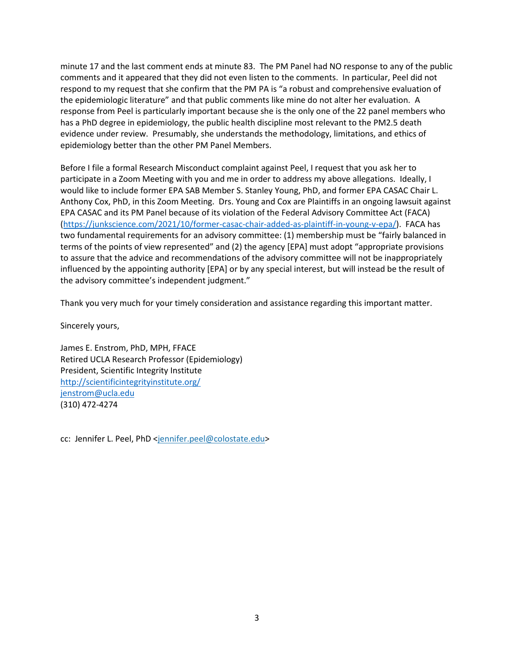minute 17 and the last comment ends at minute 83. The PM Panel had NO response to any of the public comments and it appeared that they did not even listen to the comments. In particular, Peel did not respond to my request that she confirm that the PM PA is "a robust and comprehensive evaluation of the epidemiologic literature" and that public comments like mine do not alter her evaluation. A response from Peel is particularly important because she is the only one of the 22 panel members who has a PhD degree in epidemiology, the public health discipline most relevant to the PM2.5 death evidence under review. Presumably, she understands the methodology, limitations, and ethics of epidemiology better than the other PM Panel Members.

Before I file a formal Research Misconduct complaint against Peel, I request that you ask her to participate in a Zoom Meeting with you and me in order to address my above allegations. Ideally, I would like to include former EPA SAB Member S. Stanley Young, PhD, and former EPA CASAC Chair L. Anthony Cox, PhD, in this Zoom Meeting. Drs. Young and Cox are Plaintiffs in an ongoing lawsuit against EPA CASAC and its PM Panel because of its violation of the Federal Advisory Committee Act (FACA) [\(https://junkscience.com/2021/10/former-casac-chair-added-as-plaintiff-in-young-v-epa/\)](https://nam10.safelinks.protection.outlook.com/?url=https%3A%2F%2Fjunkscience.com%2F2021%2F10%2Fformer-casac-chair-added-as-plaintiff-in-young-v-epa%2F&data=04%7C01%7Ckimberly.cox-york%40colostate.edu%7Cfc81d232f6bb47de5db308d9fd56c174%7Cafb58802ff7a4bb1ab21367ff2ecfc8b%7C0%7C0%7C637819372063220192%7CUnknown%7CTWFpbGZsb3d8eyJWIjoiMC4wLjAwMDAiLCJQIjoiV2luMzIiLCJBTiI6Ik1haWwiLCJXVCI6Mn0%3D%7C3000&sdata=L%2FJtjcjNBW1ziQZJdGOZceISh8wQi2VUWdheyJR%2B9SQ%3D&reserved=0). FACA has two fundamental requirements for an advisory committee: (1) membership must be "fairly balanced in terms of the points of view represented" and (2) the agency [EPA] must adopt "appropriate provisions to assure that the advice and recommendations of the advisory committee will not be inappropriately influenced by the appointing authority [EPA] or by any special interest, but will instead be the result of the advisory committee's independent judgment."

Thank you very much for your timely consideration and assistance regarding this important matter.

Sincerely yours,

James E. Enstrom, PhD, MPH, FFACE Retired UCLA Research Professor (Epidemiology) President, Scientific Integrity Institute [http://scientificintegrityinstitute.org/](https://nam10.safelinks.protection.outlook.com/?url=http%3A%2F%2Fscientificintegrityinstitute.org%2F&data=04%7C01%7Ckimberly.cox-york%40colostate.edu%7Cfc81d232f6bb47de5db308d9fd56c174%7Cafb58802ff7a4bb1ab21367ff2ecfc8b%7C0%7C0%7C637819372063220192%7CUnknown%7CTWFpbGZsb3d8eyJWIjoiMC4wLjAwMDAiLCJQIjoiV2luMzIiLCJBTiI6Ik1haWwiLCJXVCI6Mn0%3D%7C3000&sdata=sbupVFm9IGcIQvKRoB%2Fk6qrqByAjhDO3fN4skWexbeI%3D&reserved=0) [jenstrom@ucla.edu](mailto:jenstrom@ucla.edu) (310) 472-4274

cc: Jennifer L. Peel, PhD [<jennifer.peel@colostate.edu>](mailto:Jennifer.Peel@ColoState.EDU)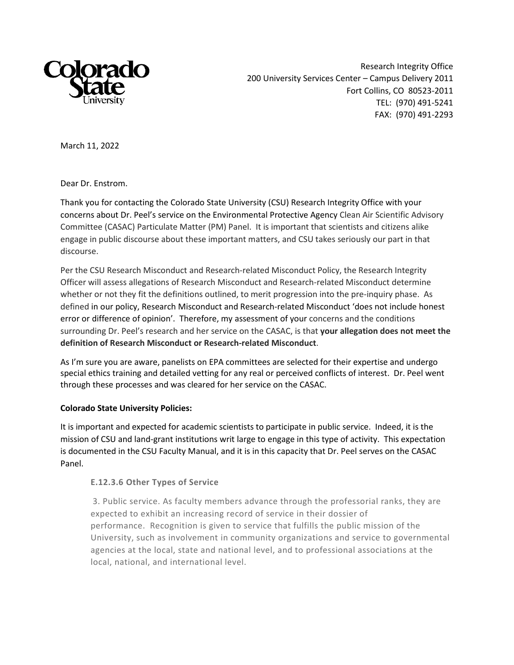

Research Integrity Office 200 University Services Center – Campus Delivery 2011 Fort Collins, CO 80523-2011 TEL: (970) 491-5241 FAX: (970) 491-2293

March 11, 2022

Dear Dr. Enstrom.

Thank you for contacting the Colorado State University (CSU) Research Integrity Office with your concerns about Dr. Peel's service on the Environmental Protective Agency Clean Air Scientific Advisory Committee (CASAC) Particulate Matter (PM) Panel. It is important that scientists and citizens alike engage in public discourse about these important matters, and CSU takes seriously our part in that discourse.

Per the CSU Research Misconduct and Research-related Misconduct Policy, the Research Integrity Officer will assess allegations of Research Misconduct and Research-related Misconduct determine whether or not they fit the definitions outlined, to merit progression into the pre-inquiry phase. As defined in our policy, Research Misconduct and Research-related Misconduct 'does not include honest error or difference of opinion'. Therefore, my assessment of your concerns and the conditions surrounding Dr. Peel's research and her service on the CASAC, is that **your allegation does not meet the definition of Research Misconduct or Research-related Misconduct**.

As I'm sure you are aware, panelists on EPA committees are selected for their expertise and undergo special ethics training and detailed vetting for any real or perceived conflicts of interest. Dr. Peel went through these processes and was cleared for her service on the CASAC.

## **Colorado State University Policies:**

It is important and expected for academic scientists to participate in public service. Indeed, it is the mission of CSU and land-grant institutions writ large to engage in this type of activity. This expectation is documented in the CSU Faculty Manual, and it is in this capacity that Dr. Peel serves on the CASAC Panel.

## **E.12.3.6 Other Types of Service**

3. Public service. As faculty members advance through the professorial ranks, they are expected to exhibit an increasing record of service in their dossier of performance. Recognition is given to service that fulfills the public mission of the University, such as involvement in community organizations and service to governmental agencies at the local, state and national level, and to professional associations at the local, national, and international level.